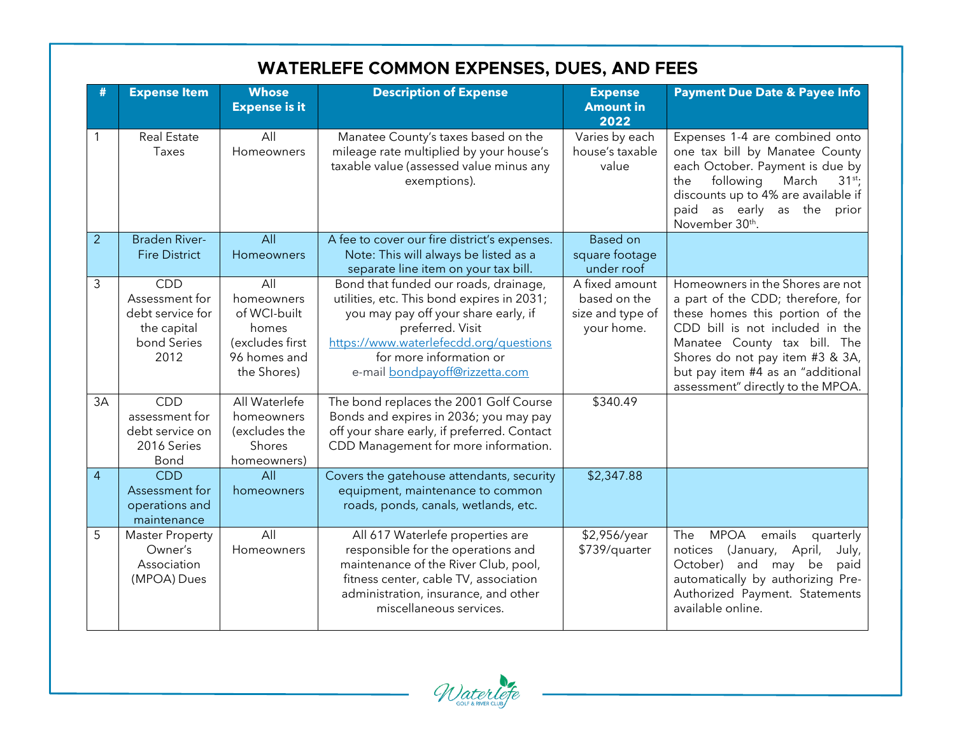|                | <b>WATERLEFE COMMON EXPENSES, DUES, AND FEES</b>                                |                                                                                              |                                                                                                                                                                                                                                                        |                                                                  |                                                                                                                                                                                                                                                                                          |  |  |
|----------------|---------------------------------------------------------------------------------|----------------------------------------------------------------------------------------------|--------------------------------------------------------------------------------------------------------------------------------------------------------------------------------------------------------------------------------------------------------|------------------------------------------------------------------|------------------------------------------------------------------------------------------------------------------------------------------------------------------------------------------------------------------------------------------------------------------------------------------|--|--|
| #              | <b>Expense Item</b>                                                             | <b>Whose</b><br><b>Expense is it</b>                                                         | <b>Description of Expense</b>                                                                                                                                                                                                                          | <b>Expense</b><br><b>Amount in</b><br>2022                       | <b>Payment Due Date &amp; Payee Info</b>                                                                                                                                                                                                                                                 |  |  |
| 1              | <b>Real Estate</b><br>Taxes                                                     | All<br>Homeowners                                                                            | Manatee County's taxes based on the<br>mileage rate multiplied by your house's<br>taxable value (assessed value minus any<br>exemptions).                                                                                                              | Varies by each<br>house's taxable<br>value                       | Expenses 1-4 are combined onto<br>one tax bill by Manatee County<br>each October. Payment is due by<br>following<br>March<br>the<br>$31^{st}$ ;<br>discounts up to 4% are available if<br>paid as early as the<br>prior<br>November 30th.                                                |  |  |
| 2              | <b>Braden River-</b><br><b>Fire District</b>                                    | All<br>Homeowners                                                                            | A fee to cover our fire district's expenses.<br>Note: This will always be listed as a<br>separate line item on your tax bill.                                                                                                                          | <b>Based on</b><br>square footage<br>under roof                  |                                                                                                                                                                                                                                                                                          |  |  |
| 3              | CDD<br>Assessment for<br>debt service for<br>the capital<br>bond Series<br>2012 | All<br>homeowners<br>of WCI-built<br>homes<br>(excludes first<br>96 homes and<br>the Shores) | Bond that funded our roads, drainage,<br>utilities, etc. This bond expires in 2031;<br>you may pay off your share early, if<br>preferred. Visit<br>https://www.waterlefecdd.org/questions<br>for more information or<br>e-mail bondpayoff@rizzetta.com | A fixed amount<br>based on the<br>size and type of<br>your home. | Homeowners in the Shores are not<br>a part of the CDD; therefore, for<br>these homes this portion of the<br>CDD bill is not included in the<br>Manatee County tax bill. The<br>Shores do not pay item #3 & 3A,<br>but pay item #4 as an "additional<br>assessment" directly to the MPOA. |  |  |
| 3A             | <b>CDD</b><br>assessment for<br>debt service on<br>2016 Series<br>Bond          | All Waterlefe<br>homeowners<br>(excludes the<br>Shores<br>homeowners)                        | The bond replaces the 2001 Golf Course<br>Bonds and expires in 2036; you may pay<br>off your share early, if preferred. Contact<br>CDD Management for more information.                                                                                | \$340.49                                                         |                                                                                                                                                                                                                                                                                          |  |  |
| $\overline{4}$ | <b>CDD</b><br>Assessment for<br>operations and<br>maintenance                   | All<br>homeowners                                                                            | Covers the gatehouse attendants, security<br>equipment, maintenance to common<br>roads, ponds, canals, wetlands, etc.                                                                                                                                  | \$2,347.88                                                       |                                                                                                                                                                                                                                                                                          |  |  |
| 5              | <b>Master Property</b><br>Owner's<br>Association<br>(MPOA) Dues                 | All<br>Homeowners                                                                            | All 617 Waterlefe properties are<br>responsible for the operations and<br>maintenance of the River Club, pool,<br>fitness center, cable TV, association<br>administration, insurance, and other<br>miscellaneous services.                             | \$2,956/year<br>\$739/quarter                                    | <b>MPOA</b><br>emails<br>The<br>quarterly<br>notices (January, April,<br>July,<br>October) and may be<br>paid<br>automatically by authorizing Pre-<br>Authorized Payment. Statements<br>available online.                                                                                |  |  |

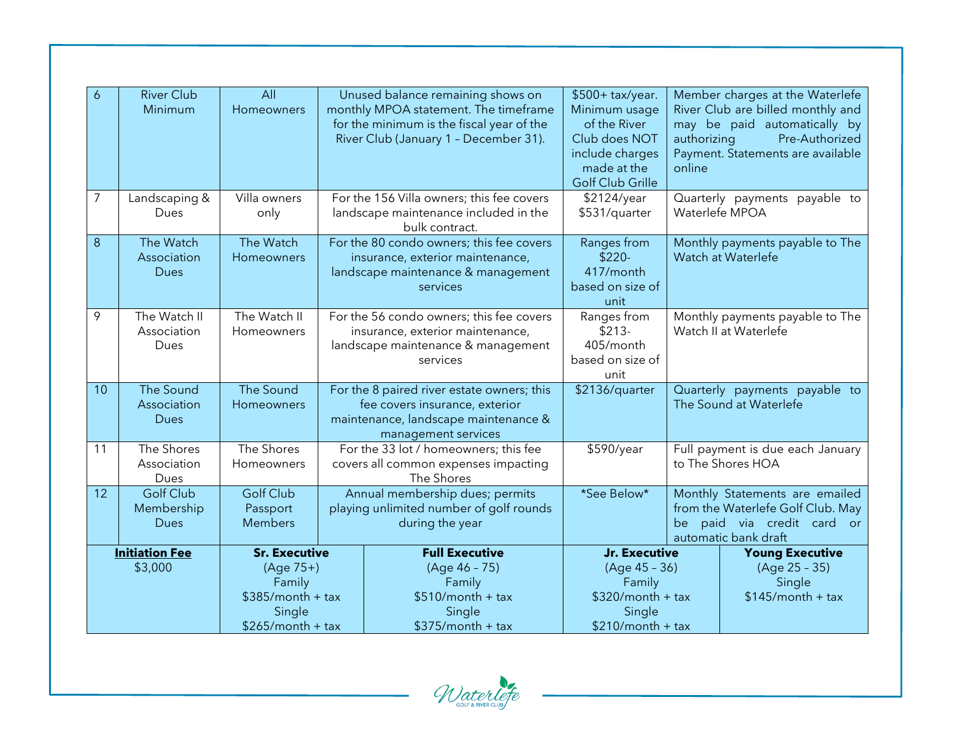| 6                                | <b>River Club</b>         | All                      |  | Unused balance remaining shows on                                             | \$500+ tax/year.              |                                                       | Member charges at the Waterlefe                |
|----------------------------------|---------------------------|--------------------------|--|-------------------------------------------------------------------------------|-------------------------------|-------------------------------------------------------|------------------------------------------------|
|                                  | Minimum                   | Homeowners               |  | monthly MPOA statement. The timeframe                                         | Minimum usage                 |                                                       | River Club are billed monthly and              |
|                                  |                           |                          |  | for the minimum is the fiscal year of the                                     | of the River<br>Club does NOT | authorizing                                           | may be paid automatically by<br>Pre-Authorized |
|                                  |                           |                          |  | River Club (January 1 - December 31).                                         | include charges               |                                                       | Payment. Statements are available              |
|                                  |                           |                          |  |                                                                               | made at the                   | online                                                |                                                |
|                                  |                           |                          |  |                                                                               | <b>Golf Club Grille</b>       |                                                       |                                                |
| 7                                | Landscaping &             | Villa owners             |  | For the 156 Villa owners; this fee covers                                     | \$2124/year                   |                                                       | Quarterly payments payable to                  |
|                                  | Dues                      | only                     |  | landscape maintenance included in the<br>bulk contract.                       | \$531/quarter                 |                                                       | Waterlefe MPOA                                 |
| 8                                | The Watch                 | The Watch                |  | For the 80 condo owners; this fee covers                                      | Ranges from                   |                                                       | Monthly payments payable to The                |
|                                  | Association               | Homeowners               |  | insurance, exterior maintenance,                                              | $$220-$                       |                                                       | Watch at Waterlefe                             |
|                                  | <b>Dues</b>               |                          |  | landscape maintenance & management<br>services                                | 417/month<br>based on size of |                                                       |                                                |
|                                  |                           |                          |  |                                                                               | unit                          |                                                       |                                                |
| 9                                | The Watch II              | The Watch II             |  | For the 56 condo owners; this fee covers                                      | Ranges from                   | Monthly payments payable to The                       |                                                |
|                                  | Association               | Homeowners               |  | insurance, exterior maintenance,                                              | $$213-$                       |                                                       | Watch II at Waterlefe                          |
|                                  | Dues                      |                          |  | landscape maintenance & management                                            | 405/month                     |                                                       |                                                |
|                                  |                           |                          |  | services                                                                      | based on size of<br>unit      |                                                       |                                                |
| 10                               | The Sound                 | The Sound                |  | For the 8 paired river estate owners; this                                    | \$2136/quarter                |                                                       | Quarterly payments payable to                  |
|                                  | Association               | Homeowners               |  | fee covers insurance, exterior                                                |                               |                                                       | The Sound at Waterlefe                         |
|                                  | <b>Dues</b>               |                          |  | maintenance, landscape maintenance &                                          |                               |                                                       |                                                |
|                                  |                           |                          |  | management services                                                           |                               |                                                       |                                                |
| 11                               | The Shores<br>Association | The Shores<br>Homeowners |  | For the 33 lot / homeowners; this fee<br>covers all common expenses impacting | \$590/year                    | Full payment is due each January<br>to The Shores HOA |                                                |
|                                  | Dues                      |                          |  | The Shores                                                                    |                               |                                                       |                                                |
| 12                               | <b>Golf Club</b>          | <b>Golf Club</b>         |  | Annual membership dues; permits                                               | *See Below*                   |                                                       | Monthly Statements are emailed                 |
|                                  | Membership                | Passport                 |  | playing unlimited number of golf rounds                                       |                               |                                                       | from the Waterlefe Golf Club. May              |
|                                  | <b>Dues</b>               | <b>Members</b>           |  | during the year                                                               |                               | be                                                    | paid via credit card or                        |
|                                  |                           | <b>Sr. Executive</b>     |  | <b>Full Executive</b>                                                         | Jr. Executive                 |                                                       | automatic bank draft<br><b>Young Executive</b> |
| <b>Initiation Fee</b><br>\$3,000 |                           | $(Aqe 75+)$              |  | (Age 46 - 75)                                                                 | $(Aqe 45 - 36)$               | (Age 25 - 35)                                         |                                                |
|                                  |                           | Family                   |  | Family                                                                        | Family                        |                                                       | Single                                         |
|                                  |                           | $$385/month + tax$       |  | $$510/m$ onth + tax                                                           | $$320/m$ onth + tax           | $$145/month + tax$                                    |                                                |
|                                  |                           | Single                   |  | Single                                                                        | Single                        |                                                       |                                                |
|                                  |                           | $$265/month + tax$       |  | $$375/month + tax$                                                            | $$210/m$ onth + tax           |                                                       |                                                |